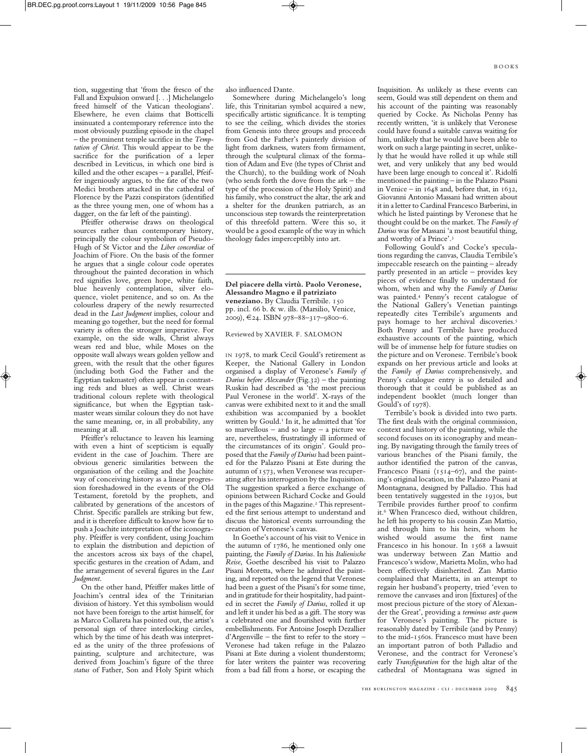tion, suggesting that 'from the fresco of the Fall and Expulsion onward [. . .] Michelangelo freed himself of the Vatican theologians'. Elsewhere, he even claims that Botticelli insinuated a contemporary reference into the most obviously puzzling episode in the chapel – the prominent temple sacrifice in the *Temptation of Christ*. This would appear to be the sacrifice for the purification of a leper described in Leviticus, in which one bird is killed and the other escapes – a parallel, Pfeiffer ingeniously argues, to the fate of the two Medici brothers attacked in the cathedral of Florence by the Pazzi conspirators (identified as the three young men, one of whom has a dagger, on the far left of the painting).

Pfeiffer otherwise draws on theological sources rather than contemporary history, principally the colour symbolism of Pseudo-Hugh of St Victor and the *Liber concordiae* of Joachim of Fiore. On the basis of the former he argues that a single colour code operates throughout the painted decoration in which red signifies love, green hope, white faith, blue heavenly contemplation, silver eloquence, violet penitence, and so on. As the colourless drapery of the newly resurrected dead in the *Last Judgment* implies, colour and meaning go together, but the need for formal variety is often the stronger imperative. For example, on the side walls, Christ always wears red and blue, while Moses on the opposite wall always wears golden yellow and green, with the result that the other figures (including both God the Father and the Egyptian taskmaster) often appear in contrasting reds and blues as well. Christ wears traditional colours replete with theological significance, but when the Egyptian taskmaster wears similar colours they do not have the same meaning, or, in all probability, any meaning at all.

Pfeiffer's reluctance to leaven his learning with even a hint of scepticism is equally evident in the case of Joachim. There are obvious generic similarities between the organisation of the ceiling and the Joachite way of conceiving history as a linear progression foreshadowed in the events of the Old Testament, foretold by the prophets, and calibrated by generations of the ancestors of Christ. Specific parallels are striking but few, and it is therefore difficult to know how far to push a Joachite interpretation of the iconography. Pfeiffer is very confident, using Joachim to explain the distribution and depiction of the ancestors across six bays of the chapel, specific gestures in the creation of Adam, and the arrangement of several figures in the *Last Judgment*.

On the other hand, Pfeiffer makes little of Joachim's central idea of the Trinitarian division of history. Yet this symbolism would not have been foreign to the artist himself, for as Marco Collareta has pointed out, the artist's personal sign of three interlocking circles, which by the time of his death was interpreted as the unity of the three professions of painting, sculpture and architecture, was derived from Joachim's figure of the three *status* of Father, Son and Holy Spirit which

also influenced Dante.

Somewhere during Michelangelo's long life, this Trinitarian symbol acquired a new, specifically artistic significance. It is tempting to see the ceiling, which divides the stories from Genesis into three groups and proceeds from God the Father's painterly division of light from darkness, waters from firmament, through the sculptural climax of the formation of Adam and Eve (the types of Christ and the Church), to the building work of Noah (who sends forth the dove from the ark – the type of the procession of the Holy Spirit) and his family, who construct the altar, the ark and a shelter for the drunken patriarch, as an unconscious step towards the reinterpretation of this threefold pattern. Were this so, it would be a good example of the way in which theology fades imperceptibly into art.

**Del piacere della virtù. Paolo Veronese, Alessandro Magno e il patriziato veneziano.** By Claudia Terribile. 150 pp. incl. 66 b. & w. ills. (Marsilio, Venice, 2009), €24. ISBN 978–88–317–9800–6.

## Reviewed by XAVIER F. SALOMON

IN 1978, to mark Cecil Gould's retirement as Keeper, the National Gallery in London organised a display of Veronese's *Family of Darius before Alexander* (Fig.32) – the painting Ruskin had described as 'the most precious Paul Veronese in the world'. X-rays of the canvas were exhibited next to it and the small exhibition was accompanied by a booklet written by Gould. <sup>1</sup> In it, he admitted that 'for so marvellous – and so large – a picture we are, nevertheless, frustratingly ill informed of the circumstances of its origin'. Gould proposed that the *Family of Darius* had been painted for the Palazzo Pisani at Este during the autumn of 1573, when Veronese was recuperating after his interrogation by the Inquisition. The suggestion sparked a fierce exchange of opinions between Richard Cocke and Gould in the pages of this Magazine. <sup>2</sup> This represented the first serious attempt to understand and discuss the historical events surrounding the creation of Veronese's canvas.

In Goethe's account of his visit to Venice in the autumn of 1786, he mentioned only one painting, the *Family of Darius*. In his *Italienische Reise*, Goethe described his visit to Palazzo Pisani Moretta, where he admired the painting, and reported on the legend that Veronese had been a guest of the Pisani's for some time, and in gratitude for their hospitality, had painted in secret the *Family of Darius*, rolled it up and left it under his bed as a gift. The story was a celebrated one and flourished with further embellishments. For Antoine Joseph Dezallier d'Argenville – the first to refer to the story – Veronese had taken refuge in the Palazzo Pisani at Este during a violent thunderstorm; for later writers the painter was recovering from a bad fall from a horse, or escaping the

Inquisition. As unlikely as these events can seem, Gould was still dependent on them and his account of the painting was reasonably queried by Cocke. As Nicholas Penny has recently written, 'it is unlikely that Veronese could have found a suitable canvas waiting for him, unlikely that he would have been able to work on such alarge painting in secret, unlikely that he would have rolled it up while still wet, and very unlikely that any bed would have been large enough to conceal it'. Ridolfi mentioned the painting – in the Palazzo Pisani in Venice – in 1648 and, before that, in 1632, Giovanni Antonio Massani had written about it in aletter to Cardinal Francesco Barberini, in which he listed paintings by Veronese that he thought could be on the market. The *Family of Darius* was for Massani 'a most beautiful thing, and worthy of a Prince'. 3

Following Gould's and Cocke's speculations regarding the canvas, Claudia Terribile's impeccable research on the painting – already partly presented in an article – provides key pieces of evidence finally to understand for whom, when and why the *Family of Darius* was painted. <sup>4</sup> Penny's recent catalogue of the National Gallery's Venetian paintings repeatedly cites Terribile's arguments and pays homage to her archival discoveries.<sup>5</sup> Both Penny and Terribile have produced exhaustive accounts of the painting, which will be of immense help for future studies on the picture and on Veronese. Terribile's book expands on her previous article and looks at the *Family of Darius* comprehensively, and Penny's catalogue entry is so detailed and thorough that it could be published as an independent booklet (much longer than Gould's of 1978).

Terribile's book is divided into two parts. The first deals with the original commission, context and history of the painting, while the second focuses on its iconography and meaning. By navigating through the family trees of various branches of the Pisani family, the author identified the patron of the canvas, Francesco Pisani (1514–67), and the painting's original location, in the Palazzo Pisani at Montagnana, designed by Palladio. This had been tentatively suggested in the 1930s, but Terribile provides further proof to confirm it.<sup>6</sup> When Francesco died, without children, he left his property to his cousin Zan Mattio, and through him to his heirs, whom he wished would assume the first name Francesco in his honour. In 1568 a lawsuit was underway between Zan Mattio and Francesco's widow, Marietta Molin, who had been effectively disinherited. Zan Mattio complained that Marietta, in an attempt to regain her husband's property, tried 'even to remove the canvases and iron [fixtures] of the most precious picture of the story of Alexander the Great', providing a *terminus ante quem* for Veronese's painting. The picture is reasonably dated by Terribile (and by Penny) to the mid-1560s. Francesco must have been an important patron of both Palladio and Veronese, and the contract for Veronese's early *Transfiguration* for the high altar of the cathedral of Montagnana was signed in

THE BURLINGTON MAGAZINE  $\cdot$  CLI  $\cdot$  DECEMBER 2009 845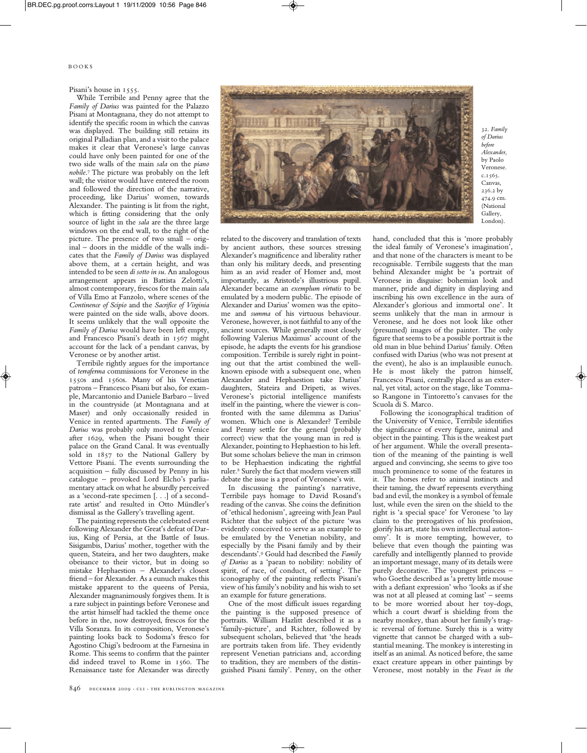B O O K S

## Pisani's house in 1555.

While Terribile and Penny agree that the *Family of Darius* was painted for the Palazzo Pisani at Montagnana, they do not attempt to identify the specific room in which the canvas was displayed. The building still retains its original Palladian plan, and a visit to the palace makes it clear that Veronese's large canvas could have only been painted for one of the two side walls of the main *sala* on the *piano nobile*. <sup>7</sup> The picture was probably on the left wall; the visitor would have entered the room and followed the direction of the narrative, proceeding, like Darius' women, towards Alexander. The painting is lit from the right, which is fitting considering that the only source of light in the *sala* are the three large windows on the end wall, to the right of the picture. The presence of two small – original – doors in the middle of the walls indicates that the *Family of Darius* was displayed above them, at a certain height, and was intended to be seen *di sotto in su*. An analogous arrangement appears in Battista Zelotti's, almost contemporary, frescos for the main *sala* of Villa Emo at Fanzolo, where scenes of the *Continence of Scipio* and the *Sacrifice of Virginia* were painted on the side walls, above doors. It seems unlikely that the wall opposite the *Family of Darius* would have been left empty, and Francesco Pisani's death in 1567 might account for the lack of a pendant canvas, by Veronese or by another artist.

Terribile rightly argues for the importance of *terraferma* commissions for Veronese in the 1550s and 1560s. Many of his Venetian patrons – Francesco Pisani but also, for example, Marcantonio and Daniele Barbaro – lived in the countryside (at Montagnana and at Maser) and only occasionally resided in Venice in rented apartments. The *Family of Darius* was probably only moved to Venice after 1629, when the Pisani bought their palace on the Grand Canal. It was eventually sold in 1857 to the National Gallery by Vettore Pisani. The events surrounding the acquisition – fully discussed by Penny in his catalogue – provoked Lord Elcho's parliamentary attack on what he absurdly perceived as a 'second-rate specimen [. . .] of a secondrate artist' and resulted in Otto Mündler's dismissal as the Gallery's travelling agent.

The painting represents the celebrated event following Alexander the Great's defeat of Darius, King of Persia, at the Battle of Issus. Sisigambis, Darius' mother, together with the queen, Stateira, and her two daughters, make obeisance to their victor, but in doing so mistake Hephaestion – Alexander's closest friend – for Alexander. As a eunuch makes this mistake apparent to the queens of Persia, Alexander magnanimously forgives them. It is a rare subject in paintings before Veronese and the artist himself had tackled the theme once before in the, now destroyed, frescos for the Villa Soranza. In its composition, Veronese's painting looks back to Sodoma's fresco for Agostino Chigi's bedroom at the Farnesina in Rome. This seems to confirm that the painter did indeed travel to Rome in 1560. The Renaissance taste for Alexander was directly

related to the discovery and translation of texts by ancient authors, these sources stressing Alexander's magnificence and liberality rather than only his military deeds, and presenting him as an avid reader of Homer and, most importantly, as Aristotle's illustrious pupil. Alexander became an *exemplum virtutis* to be emulated by a modern public. The episode of Alexander and Darius' women was the epitome and *summa* of his virtuous behaviour. Veronese, however, is not faithful to any of the ancient sources. While generally most closely following Valerius Maximus' account of the episode, he adapts the events for his grandiose composition. Terribile is surely right in pointing out that the artist combined the wellknown episode with a subsequent one, when Alexander and Hephaestion take Darius' daughters, Stateira and Dripeti, as wives. Veronese's pictorial intelligence manifests itself in the painting, where the viewer is confronted with the same dilemma as Darius' women. Which one is Alexander? Terribile and Penny settle for the general (probably correct) view that the young man in red is Alexander, pointing to Hephaestion to his left. But some scholars believe the man in crimson to be Hephaestion indicating the rightful ruler. <sup>8</sup> Surely the fact that modern viewers still debate the issue is a proof of Veronese's wit.

In discussing the painting's narrative, Terribile pays homage to David Rosand's reading of the canvas. She coins the definition of 'ethical hedonism', agreeing with Jean Paul Richter that the subject of the picture 'was evidently conceived to serve as an example to be emulated by the Venetian nobility, and especially by the Pisani family and by their descendants'. <sup>9</sup> Gould had described the *Family of Darius* as a 'paean to nobility: nobility of spirit, of race, of conduct, of setting'. The iconography of the painting reflects Pisani's view of his family's nobility and his wish to set an example for future generations.

One of the most difficult issues regarding the painting is the supposed presence of portraits. William Hazlitt described it as a 'family-picture', and Richter, followed by subsequent scholars, believed that 'the heads are portraits taken from life. They evidently represent Venetian patricians and, according to tradition, they are members of the distinguished Pisani family'. Penny, on the other

hand, concluded that this is 'more probably the ideal family of Veronese's imagination', and that none of the characters is meant to be recognisable. Terribile suggests that the man behind Alexander might be 'a portrait of Veronese in disguise: bohemian look and manner, pride and dignity in displaying and inscribing his own excellence in the aura of Alexander's glorious and immortal one'. It seems unlikely that the man in armour is Veronese, and he does not look like other (presumed) images of the painter. The only figure that seems to be a possible portrait is the old man in blue behind Darius' family. Often confused with Darius (who was not present at the event), he also is an implausible eunuch. He is most likely the patron himself, Francesco Pisani, centrally placed as an external, yet vital, actor on the stage, like Tommaso Rangone in Tintoretto's canvases for the Scuola di S. Marco.

Following the iconographical tradition of the University of Venice, Terribile identifies the significance of every figure, animal and object in the painting. This is the weakest part of her argument. While the overall presentation of the meaning of the painting is well argued and convincing, she seems to give too much prominence to some of the features in it. The horses refer to animal instincts and their taming, the dwarf represents everything bad and evil, the monkey is a symbol of female lust, while even the siren on the shield to the right is 'a special space' for Veronese 'to lay claim to the prerogatives of his profession, glorify his art, state his own intellectual autonomy'. It is more tempting, however, to believe that even though the painting was carefully and intelligently planned to provide an important message, many of its details were purely decorative. The youngest princess – who Goethe described as 'a pretty little mouse with a defiant expression' who 'looks as if she was not at all pleased at coming last' – seems to be more worried about her toy-dogs, which a court dwarf is shielding from the nearby monkey, than about her family's tragic reversal of fortune. Surely this is a witty vignette that cannot be charged with a substantial meaning. The monkey is interesting in itself as an animal. As noticed before, the same exact creature appears in other paintings by Veronese, most notably in the *Feast in the*



32. *Family of Darius before Alexander*, by Paolo Veronese. c.1565. Canvas, 236.2 by 474.9 cm. (National Gallery, London).

846 DECEMBER 2009 · CLI · THE BURLINGTON MAGAZINE